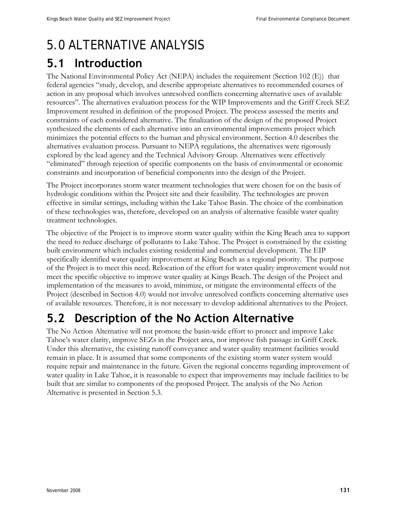# 5.0 ALTERNATIVE ANALYSIS

# **5.1 Introduction**

The National Environmental Policy Act (NEPA) includes the requirement (Section 102 (E)) that federal agencies "study, develop, and describe appropriate alternatives to recommended courses of action in any proposal which involves unresolved conflicts concerning alternative uses of available resources". The alternatives evaluation process for the WIP Improvements and the Griff Creek SEZ Improvement resulted in definition of the proposed Project. The process assessed the merits and constraints of each considered alternative. The finalization of the design of the proposed Project synthesized the elements of each alternative into an environmental improvements project which minimizes the potential effects to the human and physical environment. Section 4.0 describes the alternatives evaluation process. Pursuant to NEPA regulations, the alternatives were rigorously explored by the lead agency and the Technical Advisory Group. Alternatives were effectively "eliminated" through rejection of specific components on the basis of environmental or economic constraints and incorporation of beneficial components into the design of the Project.

The Project incorporates storm water treatment technologies that were chosen for on the basis of hydrologic conditions within the Project site and their feasibility. The technologies are proven effective in similar settings, including within the Lake Tahoe Basin. The choice of the combination of these technologies was, therefore, developed on an analysis of alternative feasible water quality treatment technologies.

The objective of the Project is to improve storm water quality within the King Beach area to support the need to reduce discharge of pollutants to Lake Tahoe. The Project is constrained by the existing built environment which includes existing residential and commercial development. The EIP specifically identified water quality improvement at King Beach as a regional priority. The purpose of the Project is to meet this need. Relocation of the effort for water quality improvement would not meet the specific objective to improve water quality at Kings Beach. The design of the Project and implementation of the measures to avoid, minimize, or mitigate the environmental effects of the Project (described in Section 4.0) would not involve unresolved conflicts concerning alternative uses of available resources. Therefore, it is not necessary to develop additional alternatives to the Project.

# **5.2 Description of the No Action Alternative**

The No Action Alternative will not promote the basin-wide effort to protect and improve Lake Tahoe's water clarity, improve SEZs in the Project area, nor improve fish passage in Griff Creek. Under this alternative, the existing runoff conveyance and water quality treatment facilities would remain in place. It is assumed that some components of the existing storm water system would require repair and maintenance in the future. Given the regional concerns regarding improvement of water quality in Lake Tahoe, it is reasonable to expect that improvements may include facilities to be built that are similar to components of the proposed Project. The analysis of the No Action Alternative is presented in Section 5.3.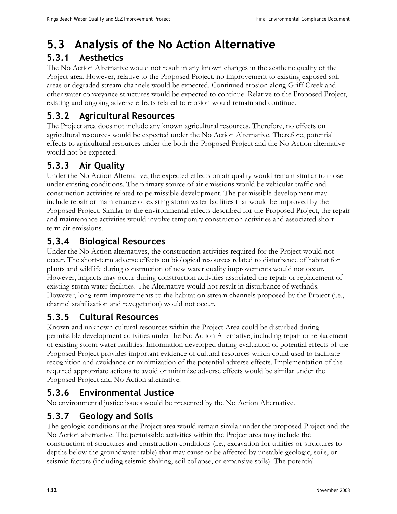# **5.3 Analysis of the No Action Alternative**

# **5.3.1 Aesthetics**

The No Action Alternative would not result in any known changes in the aesthetic quality of the Project area. However, relative to the Proposed Project, no improvement to existing exposed soil areas or degraded stream channels would be expected. Continued erosion along Griff Creek and other water conveyance structures would be expected to continue. Relative to the Proposed Project, existing and ongoing adverse effects related to erosion would remain and continue.

# **5.3.2 Agricultural Resources**

The Project area does not include any known agricultural resources. Therefore, no effects on agricultural resources would be expected under the No Action Alternative. Therefore, potential effects to agricultural resources under the both the Proposed Project and the No Action alternative would not be expected.

# **5.3.3 Air Quality**

Under the No Action Alternative, the expected effects on air quality would remain similar to those under existing conditions. The primary source of air emissions would be vehicular traffic and construction activities related to permissible development. The permissible development may include repair or maintenance of existing storm water facilities that would be improved by the Proposed Project. Similar to the environmental effects described for the Proposed Project, the repair and maintenance activities would involve temporary construction activities and associated shortterm air emissions.

# **5.3.4 Biological Resources**

Under the No Action alternatives, the construction activities required for the Project would not occur. The short-term adverse effects on biological resources related to disturbance of habitat for plants and wildlife during construction of new water quality improvements would not occur. However, impacts may occur during construction activities associated the repair or replacement of existing storm water facilities. The Alternative would not result in disturbance of wetlands. However, long-term improvements to the habitat on stream channels proposed by the Project (i.e., channel stabilization and revegetation) would not occur.

# **5.3.5 Cultural Resources**

Known and unknown cultural resources within the Project Area could be disturbed during permissible development activities under the No Action Alternative, including repair or replacement of existing storm water facilities. Information developed during evaluation of potential effects of the Proposed Project provides important evidence of cultural resources which could used to facilitate recognition and avoidance or minimization of the potential adverse effects. Implementation of the required appropriate actions to avoid or minimize adverse effects would be similar under the Proposed Project and No Action alternative.

# **5.3.6 Environmental Justice**

No environmental justice issues would be presented by the No Action Alternative.

# **5.3.7 Geology and Soils**

The geologic conditions at the Project area would remain similar under the proposed Project and the No Action alternative. The permissible activities within the Project area may include the construction of structures and construction conditions (i.e., excavation for utilities or structures to depths below the groundwater table) that may cause or be affected by unstable geologic, soils, or seismic factors (including seismic shaking, soil collapse, or expansive soils). The potential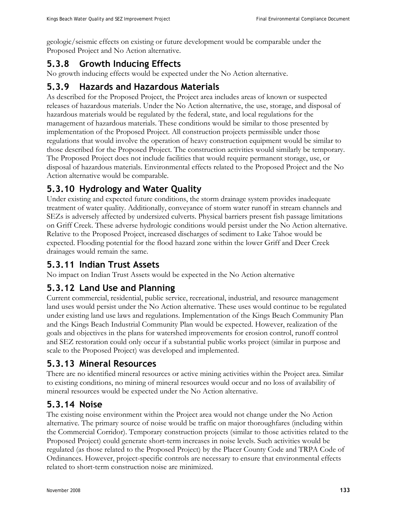geologic/seismic effects on existing or future development would be comparable under the Proposed Project and No Action alternative.

# **5.3.8 Growth Inducing Effects**

No growth inducing effects would be expected under the No Action alternative.

#### **5.3.9 Hazards and Hazardous Materials**

As described for the Proposed Project, the Project area includes areas of known or suspected releases of hazardous materials. Under the No Action alternative, the use, storage, and disposal of hazardous materials would be regulated by the federal, state, and local regulations for the management of hazardous materials. These conditions would be similar to those presented by implementation of the Proposed Project. All construction projects permissible under those regulations that would involve the operation of heavy construction equipment would be similar to those described for the Proposed Project. The construction activities would similarly be temporary. The Proposed Project does not include facilities that would require permanent storage, use, or disposal of hazardous materials. Environmental effects related to the Proposed Project and the No Action alternative would be comparable.

# **5.3.10 Hydrology and Water Quality**

Under existing and expected future conditions, the storm drainage system provides inadequate treatment of water quality. Additionally, conveyance of storm water runoff in stream channels and SEZs is adversely affected by undersized culverts. Physical barriers present fish passage limitations on Griff Creek. These adverse hydrologic conditions would persist under the No Action alternative. Relative to the Proposed Project, increased discharges of sediment to Lake Tahoe would be expected. Flooding potential for the flood hazard zone within the lower Griff and Deer Creek drainages would remain the same.

# **5.3.11 Indian Trust Assets**

No impact on Indian Trust Assets would be expected in the No Action alternative

# **5.3.12 Land Use and Planning**

Current commercial, residential, public service, recreational, industrial, and resource management land uses would persist under the No Action alternative. These uses would continue to be regulated under existing land use laws and regulations. Implementation of the Kings Beach Community Plan and the Kings Beach Industrial Community Plan would be expected. However, realization of the goals and objectives in the plans for watershed improvements for erosion control, runoff control and SEZ restoration could only occur if a substantial public works project (similar in purpose and scale to the Proposed Project) was developed and implemented.

# **5.3.13 Mineral Resources**

There are no identified mineral resources or active mining activities within the Project area. Similar to existing conditions, no mining of mineral resources would occur and no loss of availability of mineral resources would be expected under the No Action alternative.

# **5.3.14 Noise**

The existing noise environment within the Project area would not change under the No Action alternative. The primary source of noise would be traffic on major thoroughfares (including within the Commercial Corridor). Temporary construction projects (similar to those activities related to the Proposed Project) could generate short-term increases in noise levels. Such activities would be regulated (as those related to the Proposed Project) by the Placer County Code and TRPA Code of Ordinances. However, project-specific controls are necessary to ensure that environmental effects related to short-term construction noise are minimized.